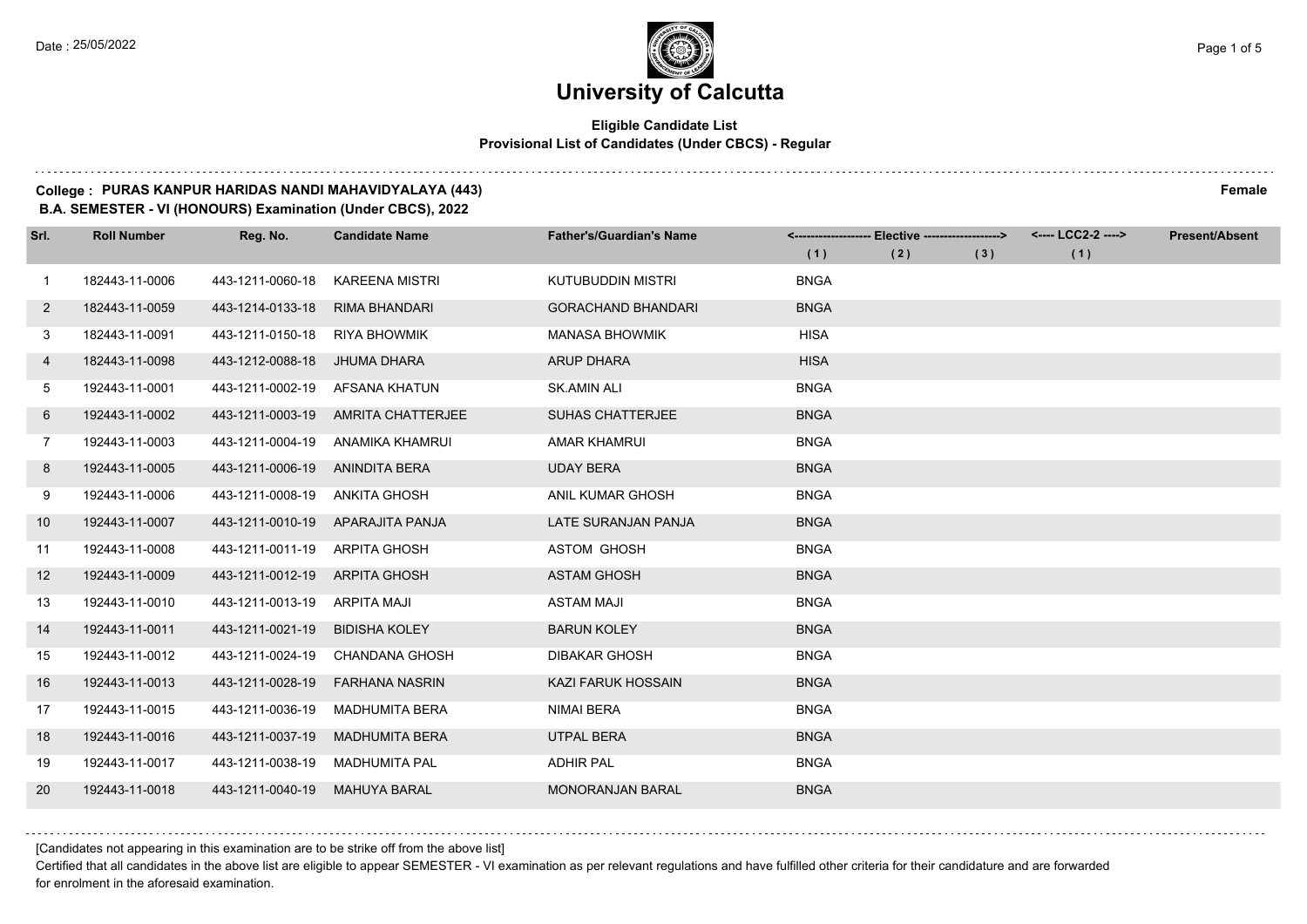## **Eligible Candidate List Provisional List of Candidates (Under CBCS) - Regular**

#### **College : PURAS KANPUR HARIDAS NANDI MAHAVIDYALAYA (443) Female**

**B.A. SEMESTER - VI (HONOURS) Examination (Under CBCS), 2022**

| Srl.         | <b>Roll Number</b> | Reg. No.                       | <b>Candidate Name</b>           | <b>Father's/Guardian's Name</b> |             | <------------------- Elective ------------------> |     | <---- LCC2-2 ----> | <b>Present/Absent</b> |
|--------------|--------------------|--------------------------------|---------------------------------|---------------------------------|-------------|---------------------------------------------------|-----|--------------------|-----------------------|
|              |                    |                                |                                 |                                 | (1)         | (2)                                               | (3) | (1)                |                       |
| 1            | 182443-11-0006     | 443-1211-0060-18               | <b>KAREENA MISTRI</b>           | KUTUBUDDIN MISTRI               | <b>BNGA</b> |                                                   |     |                    |                       |
| $\mathbf{2}$ | 182443-11-0059     | 443-1214-0133-18               | <b>RIMA BHANDARI</b>            | <b>GORACHAND BHANDARI</b>       | <b>BNGA</b> |                                                   |     |                    |                       |
| 3            | 182443-11-0091     | 443-1211-0150-18               | RIYA BHOWMIK                    | <b>MANASA BHOWMIK</b>           | <b>HISA</b> |                                                   |     |                    |                       |
| 4            | 182443-11-0098     | 443-1212-0088-18               | JHUMA DHARA                     | <b>ARUP DHARA</b>               | <b>HISA</b> |                                                   |     |                    |                       |
| 5            | 192443-11-0001     | 443-1211-0002-19               | AFSANA KHATUN                   | <b>SK.AMIN ALI</b>              | <b>BNGA</b> |                                                   |     |                    |                       |
| 6            | 192443-11-0002     | 443-1211-0003-19               | AMRITA CHATTERJEE               | <b>SUHAS CHATTERJEE</b>         | <b>BNGA</b> |                                                   |     |                    |                       |
| $7^{\circ}$  | 192443-11-0003     | 443-1211-0004-19               | ANAMIKA KHAMRUI                 | <b>AMAR KHAMRUI</b>             | <b>BNGA</b> |                                                   |     |                    |                       |
| 8            | 192443-11-0005     | 443-1211-0006-19 ANINDITA BERA |                                 | <b>UDAY BERA</b>                | <b>BNGA</b> |                                                   |     |                    |                       |
| 9            | 192443-11-0006     | 443-1211-0008-19               | ANKITA GHOSH                    | ANIL KUMAR GHOSH                | <b>BNGA</b> |                                                   |     |                    |                       |
| 10           | 192443-11-0007     | 443-1211-0010-19               | APARAJITA PANJA                 | LATE SURANJAN PANJA             | <b>BNGA</b> |                                                   |     |                    |                       |
| 11           | 192443-11-0008     | 443-1211-0011-19 ARPITA GHOSH  |                                 | <b>ASTOM GHOSH</b>              | <b>BNGA</b> |                                                   |     |                    |                       |
| 12           | 192443-11-0009     | 443-1211-0012-19 ARPITA GHOSH  |                                 | <b>ASTAM GHOSH</b>              | <b>BNGA</b> |                                                   |     |                    |                       |
| 13           | 192443-11-0010     | 443-1211-0013-19               | ARPITA MAJI                     | <b>ASTAM MAJI</b>               | <b>BNGA</b> |                                                   |     |                    |                       |
| 14           | 192443-11-0011     | 443-1211-0021-19               | <b>BIDISHA KOLEY</b>            | <b>BARUN KOLEY</b>              | <b>BNGA</b> |                                                   |     |                    |                       |
| 15           | 192443-11-0012     |                                | 443-1211-0024-19 CHANDANA GHOSH | <b>DIBAKAR GHOSH</b>            | <b>BNGA</b> |                                                   |     |                    |                       |
| 16           | 192443-11-0013     | 443-1211-0028-19               | <b>FARHANA NASRIN</b>           | <b>KAZI FARUK HOSSAIN</b>       | <b>BNGA</b> |                                                   |     |                    |                       |
| 17           | 192443-11-0015     | 443-1211-0036-19               | <b>MADHUMITA BERA</b>           | <b>NIMAI BERA</b>               | <b>BNGA</b> |                                                   |     |                    |                       |
| 18           | 192443-11-0016     | 443-1211-0037-19               | <b>MADHUMITA BERA</b>           | <b>UTPAL BERA</b>               | <b>BNGA</b> |                                                   |     |                    |                       |
| 19           | 192443-11-0017     | 443-1211-0038-19               | <b>MADHUMITA PAL</b>            | <b>ADHIR PAL</b>                | <b>BNGA</b> |                                                   |     |                    |                       |
| 20           | 192443-11-0018     | 443-1211-0040-19               | <b>MAHUYA BARAL</b>             | <b>MONORANJAN BARAL</b>         | <b>BNGA</b> |                                                   |     |                    |                       |

[Candidates not appearing in this examination are to be strike off from the above list]

Certified that all candidates in the above list are eligible to appear SEMESTER - VI examination as per relevant regulations and have fulfilled other criteria for their candidature and are forwarded for enrolment in the aforesaid examination.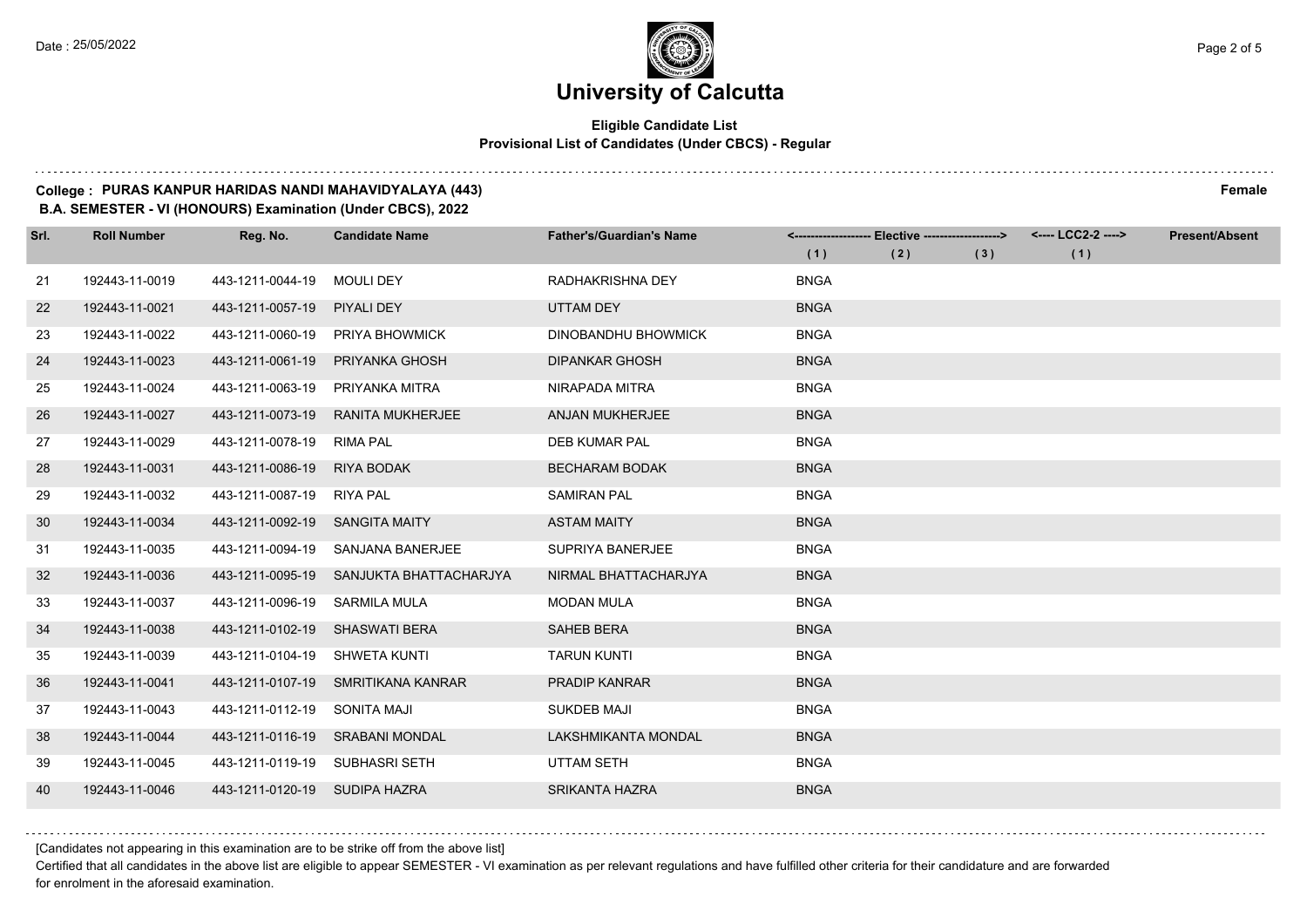$1.111$ 

## **University of Calcutta**

## **Eligible Candidate List Provisional List of Candidates (Under CBCS) - Regular**

#### **College : PURAS KANPUR HARIDAS NANDI MAHAVIDYALAYA (443) Female**

**B.A. SEMESTER - VI (HONOURS) Examination (Under CBCS), 2022**

| Srl. | <b>Roll Number</b> | Reg. No.                       | <b>Candidate Name</b>           | <b>Father's/Guardian's Name</b> |             | <------------------- Elective -------------------> |     | <---- LCC2-2 ----> | <b>Present/Absent</b> |
|------|--------------------|--------------------------------|---------------------------------|---------------------------------|-------------|----------------------------------------------------|-----|--------------------|-----------------------|
|      |                    |                                |                                 |                                 | (1)         | (2)                                                | (3) | (1)                |                       |
| 21   | 192443-11-0019     | 443-1211-0044-19               | <b>MOULI DEY</b>                | RADHAKRISHNA DEY                | <b>BNGA</b> |                                                    |     |                    |                       |
| 22   | 192443-11-0021     | 443-1211-0057-19               | PIYALI DEY                      | <b>UTTAM DEY</b>                | <b>BNGA</b> |                                                    |     |                    |                       |
| 23   | 192443-11-0022     |                                | 443-1211-0060-19 PRIYA BHOWMICK | <b>DINOBANDHU BHOWMICK</b>      | <b>BNGA</b> |                                                    |     |                    |                       |
| 24   | 192443-11-0023     | 443-1211-0061-19               | PRIYANKA GHOSH                  | <b>DIPANKAR GHOSH</b>           | <b>BNGA</b> |                                                    |     |                    |                       |
| 25   | 192443-11-0024     | 443-1211-0063-19               | PRIYANKA MITRA                  | NIRAPADA MITRA                  | <b>BNGA</b> |                                                    |     |                    |                       |
| 26   | 192443-11-0027     | 443-1211-0073-19               | <b>RANITA MUKHERJEE</b>         | ANJAN MUKHERJEE                 | <b>BNGA</b> |                                                    |     |                    |                       |
| 27   | 192443-11-0029     | 443-1211-0078-19 RIMA PAL      |                                 | <b>DEB KUMAR PAL</b>            | <b>BNGA</b> |                                                    |     |                    |                       |
| 28   | 192443-11-0031     | 443-1211-0086-19               | <b>RIYA BODAK</b>               | <b>BECHARAM BODAK</b>           | <b>BNGA</b> |                                                    |     |                    |                       |
| 29   | 192443-11-0032     | 443-1211-0087-19               | <b>RIYA PAL</b>                 | <b>SAMIRAN PAL</b>              | <b>BNGA</b> |                                                    |     |                    |                       |
| 30   | 192443-11-0034     | 443-1211-0092-19               | SANGITA MAITY                   | <b>ASTAM MAITY</b>              | <b>BNGA</b> |                                                    |     |                    |                       |
| 31   | 192443-11-0035     | 443-1211-0094-19               | SANJANA BANERJEE                | SUPRIYA BANERJEE                | <b>BNGA</b> |                                                    |     |                    |                       |
| 32   | 192443-11-0036     | 443-1211-0095-19               | SANJUKTA BHATTACHARJYA          | NIRMAL BHATTACHARJYA            | <b>BNGA</b> |                                                    |     |                    |                       |
| 33   | 192443-11-0037     | 443-1211-0096-19               | <b>SARMILA MULA</b>             | <b>MODAN MULA</b>               | <b>BNGA</b> |                                                    |     |                    |                       |
| 34   | 192443-11-0038     | 443-1211-0102-19 SHASWATI BERA |                                 | <b>SAHEB BERA</b>               | <b>BNGA</b> |                                                    |     |                    |                       |
| 35   | 192443-11-0039     | 443-1211-0104-19               | SHWETA KUNTI                    | <b>TARUN KUNTI</b>              | <b>BNGA</b> |                                                    |     |                    |                       |
| 36   | 192443-11-0041     | 443-1211-0107-19               | SMRITIKANA KANRAR               | PRADIP KANRAR                   | <b>BNGA</b> |                                                    |     |                    |                       |
| 37   | 192443-11-0043     | 443-1211-0112-19               | SONITA MAJI                     | <b>SUKDEB MAJI</b>              | <b>BNGA</b> |                                                    |     |                    |                       |
| 38   | 192443-11-0044     | 443-1211-0116-19               | <b>SRABANI MONDAL</b>           | <b>LAKSHMIKANTA MONDAL</b>      | <b>BNGA</b> |                                                    |     |                    |                       |
| 39   | 192443-11-0045     | 443-1211-0119-19 SUBHASRI SETH |                                 | UTTAM SETH                      | <b>BNGA</b> |                                                    |     |                    |                       |
| 40   | 192443-11-0046     | 443-1211-0120-19 SUDIPA HAZRA  |                                 | <b>SRIKANTA HAZRA</b>           | <b>BNGA</b> |                                                    |     |                    |                       |

[Candidates not appearing in this examination are to be strike off from the above list]

Certified that all candidates in the above list are eligible to appear SEMESTER - VI examination as per relevant regulations and have fulfilled other criteria for their candidature and are forwarded for enrolment in the aforesaid examination.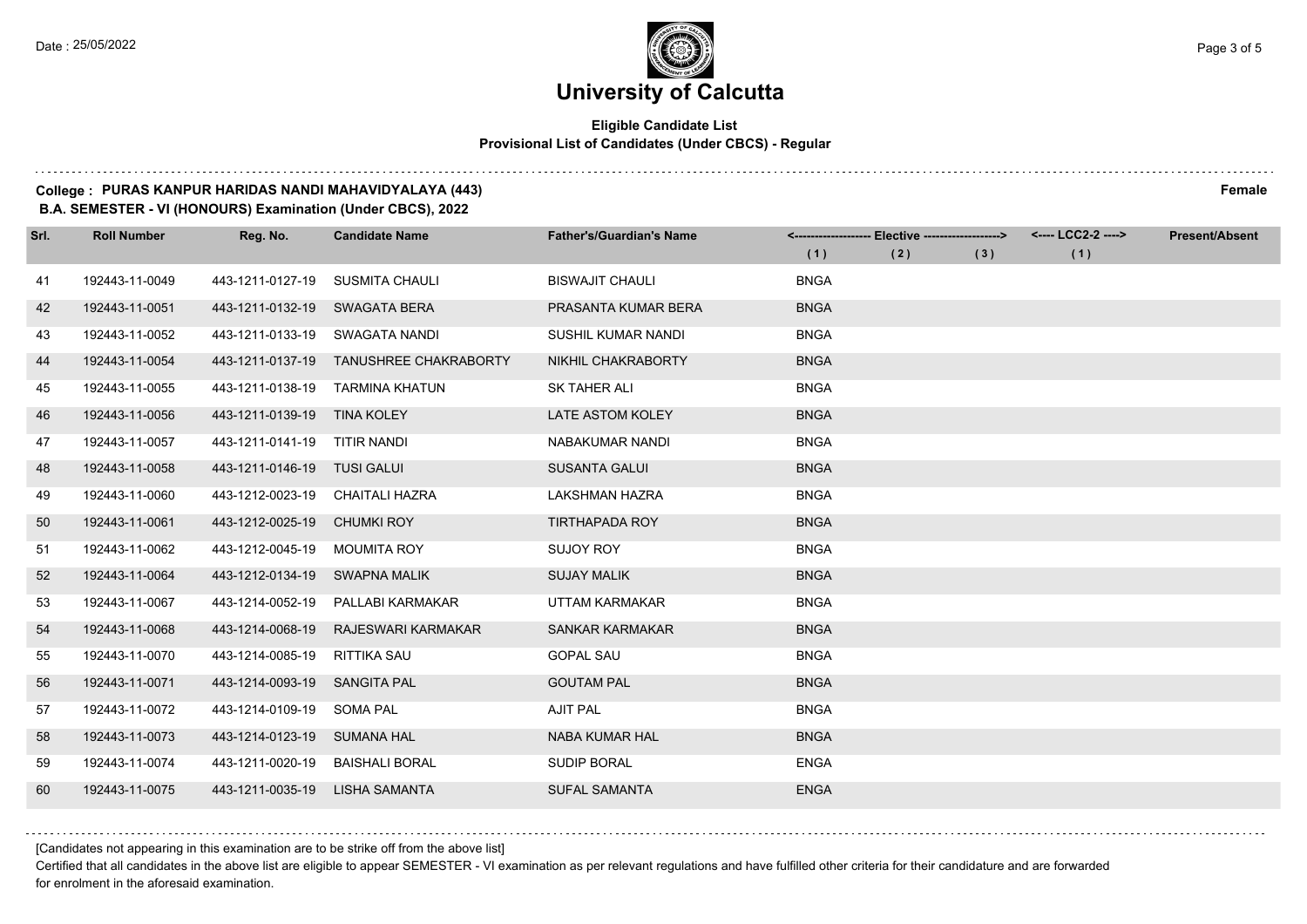## **Eligible Candidate List Provisional List of Candidates (Under CBCS) - Regular**

#### **College : PURAS KANPUR HARIDAS NANDI MAHAVIDYALAYA (443) Female**

**B.A. SEMESTER - VI (HONOURS) Examination (Under CBCS), 2022**

| Srl. | <b>Roll Number</b> | Reg. No.                       | <b>Candidate Name</b>                  | <b>Father's/Guardian's Name</b> |             | <------------------- Elective -------------------> |     | <---- LCC2-2 ----> | <b>Present/Absent</b> |
|------|--------------------|--------------------------------|----------------------------------------|---------------------------------|-------------|----------------------------------------------------|-----|--------------------|-----------------------|
|      |                    |                                |                                        |                                 | (1)         | (2)                                                | (3) | (1)                |                       |
| 41   | 192443-11-0049     | 443-1211-0127-19               | <b>SUSMITA CHAULI</b>                  | <b>BISWAJIT CHAULI</b>          | <b>BNGA</b> |                                                    |     |                    |                       |
| 42   | 192443-11-0051     | 443-1211-0132-19               | SWAGATA BERA                           | PRASANTA KUMAR BERA             | <b>BNGA</b> |                                                    |     |                    |                       |
| 43   | 192443-11-0052     | 443-1211-0133-19 SWAGATA NANDI |                                        | SUSHIL KUMAR NANDI              | <b>BNGA</b> |                                                    |     |                    |                       |
| 44   | 192443-11-0054     |                                | 443-1211-0137-19 TANUSHREE CHAKRABORTY | <b>NIKHIL CHAKRABORTY</b>       | <b>BNGA</b> |                                                    |     |                    |                       |
| 45   | 192443-11-0055     | 443-1211-0138-19               | TARMINA KHATUN                         | SK TAHER ALI                    | <b>BNGA</b> |                                                    |     |                    |                       |
| 46   | 192443-11-0056     | 443-1211-0139-19 TINA KOLEY    |                                        | LATE ASTOM KOLEY                | <b>BNGA</b> |                                                    |     |                    |                       |
| 47   | 192443-11-0057     | 443-1211-0141-19 TITIR NANDI   |                                        | <b>NABAKUMAR NANDI</b>          | <b>BNGA</b> |                                                    |     |                    |                       |
| 48   | 192443-11-0058     | 443-1211-0146-19 TUSI GALUI    |                                        | <b>SUSANTA GALUI</b>            | <b>BNGA</b> |                                                    |     |                    |                       |
| 49   | 192443-11-0060     | 443-1212-0023-19               | CHAITALI HAZRA                         | <b>LAKSHMAN HAZRA</b>           | <b>BNGA</b> |                                                    |     |                    |                       |
| 50   | 192443-11-0061     | 443-1212-0025-19               | <b>CHUMKI ROY</b>                      | <b>TIRTHAPADA ROY</b>           | <b>BNGA</b> |                                                    |     |                    |                       |
| 51   | 192443-11-0062     | 443-1212-0045-19               | MOUMITA ROY                            | <b>SUJOY ROY</b>                | <b>BNGA</b> |                                                    |     |                    |                       |
| 52   | 192443-11-0064     | 443-1212-0134-19               | <b>SWAPNA MALIK</b>                    | <b>SUJAY MALIK</b>              | <b>BNGA</b> |                                                    |     |                    |                       |
| 53   | 192443-11-0067     | 443-1214-0052-19               | PALLABI KARMAKAR                       | <b>UTTAM KARMAKAR</b>           | <b>BNGA</b> |                                                    |     |                    |                       |
| 54   | 192443-11-0068     | 443-1214-0068-19               | RAJESWARI KARMAKAR                     | <b>SANKAR KARMAKAR</b>          | <b>BNGA</b> |                                                    |     |                    |                       |
| 55   | 192443-11-0070     | 443-1214-0085-19               | RITTIKA SAU                            | <b>GOPAL SAU</b>                | <b>BNGA</b> |                                                    |     |                    |                       |
| 56   | 192443-11-0071     | 443-1214-0093-19               | <b>SANGITA PAL</b>                     | <b>GOUTAM PAL</b>               | <b>BNGA</b> |                                                    |     |                    |                       |
| 57   | 192443-11-0072     | 443-1214-0109-19               | <b>SOMA PAL</b>                        | <b>AJIT PAL</b>                 | <b>BNGA</b> |                                                    |     |                    |                       |
| 58   | 192443-11-0073     | 443-1214-0123-19               | <b>SUMANA HAL</b>                      | <b>NABA KUMAR HAL</b>           | <b>BNGA</b> |                                                    |     |                    |                       |
| 59   | 192443-11-0074     | 443-1211-0020-19               | <b>BAISHALI BORAL</b>                  | <b>SUDIP BORAL</b>              | <b>ENGA</b> |                                                    |     |                    |                       |
| 60   | 192443-11-0075     | 443-1211-0035-19               | LISHA SAMANTA                          | <b>SUFAL SAMANTA</b>            | <b>ENGA</b> |                                                    |     |                    |                       |

[Candidates not appearing in this examination are to be strike off from the above list]

Certified that all candidates in the above list are eligible to appear SEMESTER - VI examination as per relevant regulations and have fulfilled other criteria for their candidature and are forwarded for enrolment in the aforesaid examination.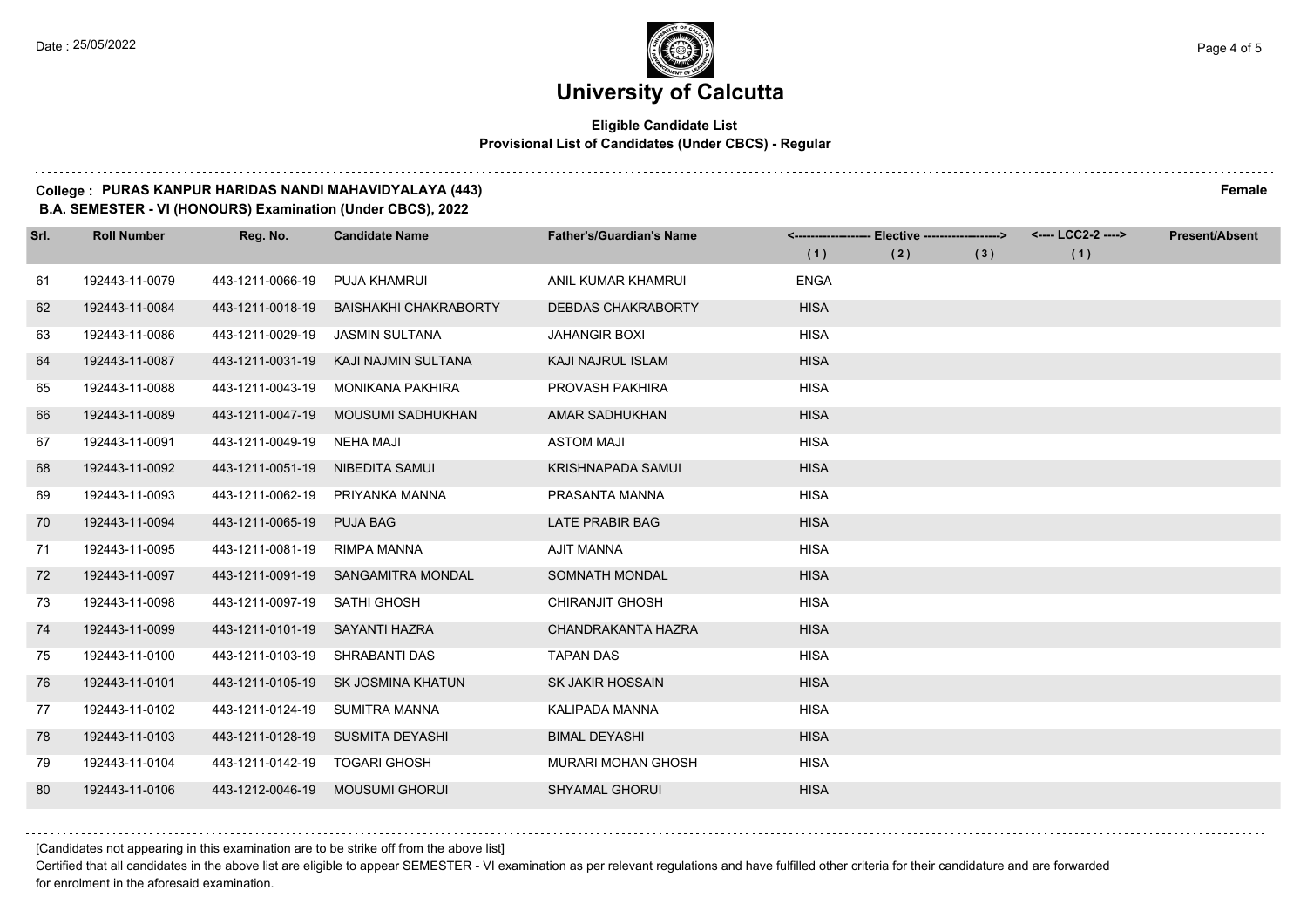## **Eligible Candidate List Provisional List of Candidates (Under CBCS) - Regular**

#### **College : PURAS KANPUR HARIDAS NANDI MAHAVIDYALAYA (443) Female**

**B.A. SEMESTER - VI (HONOURS) Examination (Under CBCS), 2022**

| Srl. | <b>Roll Number</b> | Reg. No.         | <b>Candidate Name</b>        | <b>Father's/Guardian's Name</b> |             | <------------------- Elective -------------------> |     | <---- LCC2-2 ----> | <b>Present/Absent</b> |
|------|--------------------|------------------|------------------------------|---------------------------------|-------------|----------------------------------------------------|-----|--------------------|-----------------------|
|      |                    |                  |                              |                                 | (1)         | (2)                                                | (3) | (1)                |                       |
| 61   | 192443-11-0079     | 443-1211-0066-19 | <b>PUJA KHAMRUI</b>          | ANIL KUMAR KHAMRUI              | <b>ENGA</b> |                                                    |     |                    |                       |
| 62   | 192443-11-0084     | 443-1211-0018-19 | <b>BAISHAKHI CHAKRABORTY</b> | <b>DEBDAS CHAKRABORTY</b>       | <b>HISA</b> |                                                    |     |                    |                       |
| 63   | 192443-11-0086     | 443-1211-0029-19 | <b>JASMIN SULTANA</b>        | <b>JAHANGIR BOXI</b>            | <b>HISA</b> |                                                    |     |                    |                       |
| 64   | 192443-11-0087     | 443-1211-0031-19 | KAJI NAJMIN SULTANA          | KAJI NAJRUL ISLAM               | <b>HISA</b> |                                                    |     |                    |                       |
| 65   | 192443-11-0088     | 443-1211-0043-19 | <b>MONIKANA PAKHIRA</b>      | PROVASH PAKHIRA                 | <b>HISA</b> |                                                    |     |                    |                       |
| 66   | 192443-11-0089     | 443-1211-0047-19 | MOUSUMI SADHUKHAN            | AMAR SADHUKHAN                  | <b>HISA</b> |                                                    |     |                    |                       |
| 67   | 192443-11-0091     | 443-1211-0049-19 | NEHA MAJI                    | <b>ASTOM MAJI</b>               | <b>HISA</b> |                                                    |     |                    |                       |
| 68   | 192443-11-0092     | 443-1211-0051-19 | NIBEDITA SAMUI               | <b>KRISHNAPADA SAMUI</b>        | <b>HISA</b> |                                                    |     |                    |                       |
| 69   | 192443-11-0093     | 443-1211-0062-19 | PRIYANKA MANNA               | PRASANTA MANNA                  | <b>HISA</b> |                                                    |     |                    |                       |
| 70   | 192443-11-0094     | 443-1211-0065-19 | <b>PUJA BAG</b>              | <b>LATE PRABIR BAG</b>          | <b>HISA</b> |                                                    |     |                    |                       |
| 71   | 192443-11-0095     | 443-1211-0081-19 | RIMPA MANNA                  | AJIT MANNA                      | <b>HISA</b> |                                                    |     |                    |                       |
| 72   | 192443-11-0097     | 443-1211-0091-19 | SANGAMITRA MONDAL            | SOMNATH MONDAL                  | <b>HISA</b> |                                                    |     |                    |                       |
| 73   | 192443-11-0098     | 443-1211-0097-19 | <b>SATHI GHOSH</b>           | <b>CHIRANJIT GHOSH</b>          | <b>HISA</b> |                                                    |     |                    |                       |
| 74   | 192443-11-0099     | 443-1211-0101-19 | SAYANTI HAZRA                | CHANDRAKANTA HAZRA              | <b>HISA</b> |                                                    |     |                    |                       |
| 75   | 192443-11-0100     | 443-1211-0103-19 | SHRABANTI DAS                | <b>TAPAN DAS</b>                | <b>HISA</b> |                                                    |     |                    |                       |
| 76   | 192443-11-0101     | 443-1211-0105-19 | SK JOSMINA KHATUN            | SK JAKIR HOSSAIN                | <b>HISA</b> |                                                    |     |                    |                       |
| 77   | 192443-11-0102     | 443-1211-0124-19 | <b>SUMITRA MANNA</b>         | KALIPADA MANNA                  | <b>HISA</b> |                                                    |     |                    |                       |
| 78   | 192443-11-0103     | 443-1211-0128-19 | SUSMITA DEYASHI              | <b>BIMAL DEYASHI</b>            | <b>HISA</b> |                                                    |     |                    |                       |
| 79   | 192443-11-0104     | 443-1211-0142-19 | <b>TOGARI GHOSH</b>          | <b>MURARI MOHAN GHOSH</b>       | <b>HISA</b> |                                                    |     |                    |                       |
| 80   | 192443-11-0106     | 443-1212-0046-19 | <b>MOUSUMI GHORUI</b>        | <b>SHYAMAL GHORUI</b>           | <b>HISA</b> |                                                    |     |                    |                       |

[Candidates not appearing in this examination are to be strike off from the above list]

Certified that all candidates in the above list are eligible to appear SEMESTER - VI examination as per relevant regulations and have fulfilled other criteria for their candidature and are forwarded for enrolment in the aforesaid examination.